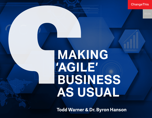**ChangeThis** 

# **MAKING 'AGILE' BUSINESS AS USUAL**

**Todd Warner & Dr. Byron Hanson**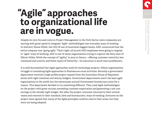## **"Agile" approaches to organizational life are in vogue.**

Despite its very focused roots in Project Management in the Tech Sector, more companies are moving with great speed to integrate "Agile" methodologies into everyday ways of working. In mid-2017, Shane Elliott, the CEO of one of Australia's biggest banks, ANZ, announced that the entire company was "going agile." That's right, all 50,000 ANZ employees were going to migrate to "agile" ways of working. ANZ is one of many organizations trying to capture the fairy dust of Silicon Valley. While the concept of "agility" is sexy in theory—offering customer centricity, less command-and-control, and fewer layers of hierarchy—its execution is much more problematic.

It is well documented that Agile approaches work for technology projects. Where organizations struggle is translating Agile approaches to Business-as-usual activities. Recently a government department received a high-profile project request from the Australian House of Representatives with tight timelines and skinny budgets. Government departments aren't the least agile organizations in the world, but the stereotypes around Government bureaucracy exist for a reason. This department decided to try something different. They used Agile methodologies on the project with great success; exceeding customer expectation and generating a 15% cost savings to the already tight budget. But after the project, everyone returned to their normal teams and resorted to their standard, slow and bureaucratic, ways of working. Everyone on the project team agreed that many of the Agile principles could be used in their areas, but they were not being adopted.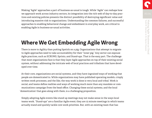Making "Agile" approaches a part of business-as-usual is tough. While "Agile" can reshape how we approach work across industry sectors, its integration into the rich web of day-to-day practices and existing policies presents the distinct possibility of destroying significant value and introducing massive risk to organizations. Understanding the common failures, and successful approaches to enabling behavioral change and embedment in everyday work, are critical to enabling Agile in business-as-usual activities.

#### **Where We Get Embedding Agile Wrong**

There is more to Agility than putting lipstick on a pig. Organizations that attempt to migrate to Agile approaches need to take accountability for their "inner pig." Any sector can espouse Agile practices, such as SCRUMS, Sprints, and Stand-ups. That is the easy part. The challenge that most organizations face is that they layer Agile approaches on top of their existing social system, without addressing the intricate web of local practices and tribalism that have developed over time.

At their core, organizations are social systems, and they have ingrained ways of working that people are domesticated to. While organizations may have published operating models, crisply written work processes, and the like, the way work is done is very local and tribal. Work is social, and teams define realities and ways of working much more than any mandate or communications campaign from the head office. Changing these social systems, and the local 'domestication' that goes along with them, is a challenging proposition.

Simply adopting Agile events like stand up meetings may not make sense in the ways local teams work. "Stand-ups" are a familiar Agile event; they are 15 minute meetings in which teams actually stand and quickly tackle core work priorities. But, with an existing team that has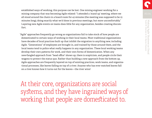established ways of working, this purpose can be lost. One mining engineer working for a mining company that was becoming Agile related: "I attended a 'stand up' meeting, where we all stood around the chairs in a board room for 45 minutes (the meeting was supposed to be 15 minutes long), doing exactly what we'd done in previous meetings, but more uncomfortably." Layering new Agile events on teams does little for any organization, besides creating discomfort.

"Agile" approaches frequently go wrong as organizations fail to take stock of how people are domesticated to certain ways of working in their local teams. Most traditional organizations have decades of local practices built up that inhibit the migration to anything new, including Agile. "Generations" of employees are brought in, and trained by those around them, and the local teams tend to police what really happens in any organization. These local working teams develop their own patterns for work, and their own forms of domestication. When any new-fangled approach from "head office" shows up, there is scepticism, and people circle their wagons to protect the status quo. Rather than building a new approach from the bottom up, Agile approaches are frequently layered on top of existing practices, work teams, and organizational processes, like leaves falling on top of a river. Anyone who has ever watched leaves fall on a river knows how it turns out for the leaves—the river wins!

At their core, organizations are social systems, and they have ingrained ways of working that people are domesticated to.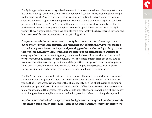For Agile approaches to work, organizations need to focus on embedment. One way to do this is to look to at high performers that thrive in your social system. Every organization has agile leaders; you just don't call them that. Organizations attempting to drive Agile need not push "stock and standard" Agile methodologies on everyone in their organization. Agile is a philosophy, after all. Identifying Agile "routines" that emerge from the local work practices of high performers is a much more productive place for most organizations to start. To make Agile work within an organization, you have to build from how local tribes have learned to work, and how people collaborate with one another to get things done.

Companies outside the tech sector need to see Agile not as a collection of meetings to adopt, but as a way to rewire local practices. This means not only adopting new ways of organising and delivering work, but—more importantly—letting go of entrenched and guarded practices that work against Agility. Fear, control, and the status quo are stock standard artefacts of every organization; they are not, typically, sponsored by head office, but their existence will work to unwind any efforts to enable Agility. These artefacts emerge from the social side of work, with local teams creating realities, and the practices that go with them. Most organizations, and the people in them, have a difficult time giving up local practices around these things, as they have had a defined purpose in the past, and have led to local success.

Finally, Agile requires people to act differently—more collaborative versus hierarchical, more autonomous versus approval driven, and more just-in-time versus bureaucratic. But how do you do that? Most organizations facing this challenge rely on a list of behaviors to communicate what people need to do differently. Generating lists of behaviors or competencies seems to make sense to most HR departments, not to people doing the work. To enable significant behavioral change to be more Agile, a more embedded approach to behavioral change is required.

An orientation to behavioral change that enables Agile, needs to be applied, not abstracted. We once asked a group of high performing leaders about their leadership competency framework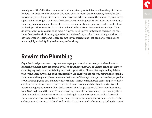namely what the "effective communication" competency looked like, and how they did that as leaders. The leader couldn't answer this other than to repeat the competency definition that was on the piece of paper in front of them. However, when we asked them how they conducted a particular meeting we had identified as critical to enabling Agility and effective communication, they told us amazing stories of effective communication in practice. Leaders understand leadership as the moments that matter and not in the abstract behavior terminology of HR. So, if you want your leaders to be more Agile, you need to give context and focus on the routines that need to shift in very applied terms, while taking stock of the existing practices that have emerged in local teams. There are two key considerations that can help organizations more rapidly embed Agility to their ways of working.

#### **Rewire the Plumbing**

Organizational processes and systems train people more than any corporate handbook or leadership development program. David Thodey, the former CEO of Telstra, tells a great story about trying to drive accountability into that organization. The mantra espoused by Telstra was, "value local ownership and accountability." As Thodey made his way around the organization, he would frequently hear murmurs that many of the day-to-day processes that people had to work through, and that inadvertently "trained" them, communicated something very different: Procurement processes required weeks of paper work and eight signatures to sign off, people managing hundred-million-dollar projects had to get approvals from their boss's boss for a \$200 flights, and the like. Without rewiring facets of this "plumbing"—particularly those that impede local teams—any effort to embed Agile or any new approach will fail. We call these core processes and systems "functional rhythms," because organizations tend to create a cadence around these activities. Core functional rhythms need to be interrogated and matured,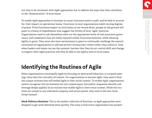not only to be consistent with Agile approaches, but to address the ways that they contribute to the "domestication" of local teams.

To enable Agile approaches in business as usual, functions need to audit, and be held to account for, their impact on operational teams. Functions in most organizations wield varying degrees of power. If the functional impact on local teams is not wound down, people on the ground will point to a litany of impediments that suggest the futility of local "agile" practices. Organizations need to ask themselves what are the appropriate levels of risk assurance, governance, and compliance that are really required within functional domains, while allowing Agility to grow. They must also have mechanisms in place to continually challenge the natural inclination of organizations to add and protect bureaucratic clutter rather than reduce it. Only when leaders and teams can see the systemic barriers that they do not control shift and change to support their Agile practices will they be able to see Agility stick in local teams.

## **Identifying the Routines of Agile**

When organizations oversimplify Agile by focusing on abstracted behaviors, or scripted meetings, they miss the criticality of context. For organizations to become Agile, they need to find the unique routines that will embed Agile in their social context. To enable Agile, organizations need to recognize that all moments are not created equal. Successful companies identify and leverage deeply applied, local routines that enable Agile in their social context. While the routines are unique to any individual company and social system, they tend to fall into three broad clusters:

**Work Delivery Routines:** This is the easiest collection of Routines, as Agile approaches were designed to get work delivered more quickly. The irony is that every organization has pockets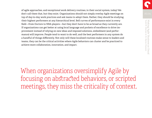of agile approaches, and exceptional work delivery routines, in their social system, today! We don't call them that, but they exist. Organizations should not simply overlay Agile meetings on top of day-to-day work practices and ask teams to adopt them. Rather, they should be studying their highest performers at any hierarchical level. Bell curves of performance exist in every field—from Doctors to NBA players—but they don't have to be as broad as they currently are. If organizations can get better at using local language and pockets of excellence to drive improvement instead of relying on new ideas and imposed solutions, embedment (and performance) will improve. People tend to want to do well, and the best performers in any system do a handful of things differently. Not only will these localized routines make sense to leaders and teams, they can be the critical activities where Agile behaviors can cluster and be practiced to achieve more collaboration, innovation, and impact.

When organizations oversimplify Agile by focusing on abstracted behaviors, or scripted meetings, they miss the criticality of context.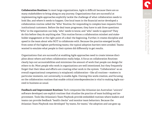**Collaboration Routines:** In most large organizations, Agile is difficult because there are so many stakeholders to bring along on any journey. Organizations that are successful at implementing Agile approaches explicitly tackle the challenge of what collaboration needs to look like, and where it needs to happen. One local team in the financial sector developed a collaboration routine called the "Who" Routine, for responding to complex loan requests from institutional customers. Before the deal team progresses, they have to ask three questions: "Who" in the organization can help, "who" needs to know, and "who" needs to approve? They do this before they do anything else. This routine forces a collaboration mindset and stakeholder engagement at the right point of a deal: the beginning. Further, it creates discipline and speed in the team about who NOT to collaborate with. Because the practice emerged locally from some of the highest performing teams, the typical adoption barriers were avoided. Teams wanted to emulate what people in their system did differently to get results.

Organizations that are successful at enabling Agile approaches need to create intense discipline about where and when collaboration really helps. A focus on collaboration Routines clearly lays out accountabilities and minimizes the amount of work that people can design for others to do. Most people who work in organizations are well intentioned, but they frequently forget that their ideas and efforts are creating other work in the system. "Collaboration" as an overall organizational competency is misplaced; collaboration—like all routines—matters in particular moments, not universally, to enable Agile. Owning this work-creation, and focusing on the collaboration routines that enable critical interdependencies is vital to making Agile succeed in business as usual.

**Feedback and Improvement Routines:** Tech companies like Atlassian (an Australian "unicorn" software developer) use explicit routines that ritualise the practice of team building and improvement. Tools like Atlassian's Team Playbook provide embedded routines where leaders and teams can provide feedback "health checks" and monitor team behaviors. Because the Atlassian Team Playbook was developed "by teams, for teams," the adoption and use goes up.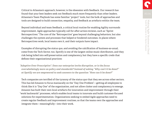Critical to Atlassian's approach, however, is the obsession with feedback. Our research has found that your best leaders seek out feedback much more frequently than other leaders. Atlassian's Team Playbook has some familiar "project" tools, but the bulk of approaches and tools are designed to build connection, empathy, and feedback as artefacts within the team.

Beyond individual and team feedback, a critical local routine for enabling Agility surrounds improvement. Agile approaches typically call for after-action-reviews, such as "Sprint Retrospectives." The core of the "Retrospective" goes beyond challenging behaviors, but also challenges the system and processes that helped or hindered outcomes. In places where Retrospectives work, local teams own it, and their outputs have impact.

Examples of disrupting the status quo, and avoiding the calcification of business-as-usual, come from the Tech Sector, too. Spotify is one of the largest online music distributors, and they risk being lulled into self-preservation and complacency, but they have a specific credo that defines their organizational practices:

*"Adaptive Over Prescriptive": Does our enterprise invite disruption, or is the focus overwhelmingly more on policy and standards? Instead of asking "Why can't it be done?" at Spotify we are empowered to seek answers to the question "How can it be done?"* 

Tech companies are terrified of the tyranny of the status quo that they see across other sectors. This has led Amazon to focus maniacally on the "Day One Problem"—getting all employees to think like it is "Day One" of the organization, and not allow clutter and complacency to emerge. Amazon has built their own local artefacts for innovation and improvement through their "work backwards" processes, which enables local teams to innovate and build customer-focused solutions for experimentation. Organizations seeking to embed Agile approaches need to create regular feedback and improvement routines, so that the teams own the approaches and integrate them—meaningfully—into their work.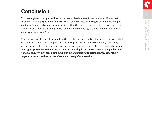### **Conclusion**

To make Agile work as part of business-as-usual, leaders need to reorient to a different set of problems. Making Agile work in business-as-usual requires orienting to the nuances and peccadillos of social and organizational systems that their people have created. It is not merely a technical solution that is being solved for; merely imposing Agile events and methods on an existing system doesn't work.

Work is done locally, in tribes. People in these tribes are internally referential—they care what one another thinks, and they protect their local practices. Added to this reality, over time, all organizations collect the clutter of bureaucracy, and become captive to a particular status quo. **For Agile approaches to have any chance at surviving in business-as-usual, companies need to focus on rewiring their plumbing, by fixing and auditing functional process for their impact on teams, and focus on embedment through local routines.**